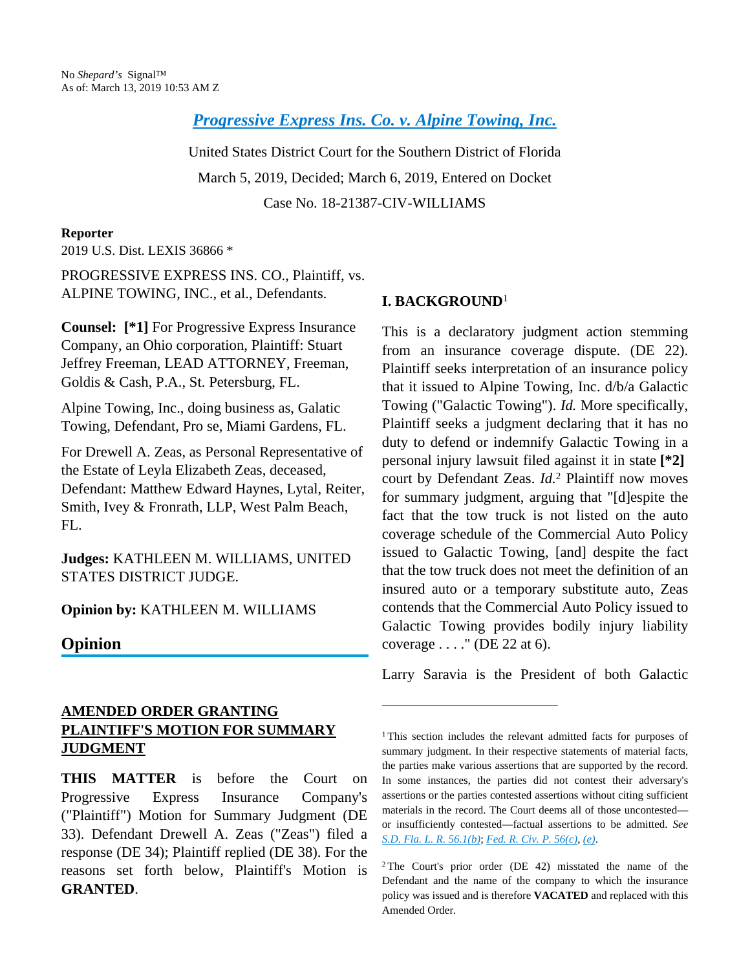*[Progressive Express Ins. Co. v. Alpine Towing, Inc.](http://configure.this.manually.for.dev/api/document?collection=cases&id=urn:contentItem:5VKG-02Y1-DXWW-2093-00000-00&context=)*

United States District Court for the Southern District of Florida March 5, 2019, Decided; March 6, 2019, Entered on Docket Case No. 18-21387-CIV-WILLIAMS

## **Reporter**

2019 U.S. Dist. LEXIS 36866 \*

PROGRESSIVE EXPRESS INS. CO., Plaintiff, vs. ALPINE TOWING, INC., et al., Defendants.

**Counsel: [\*1]** For Progressive Express Insurance Company, an Ohio corporation, Plaintiff: Stuart Jeffrey Freeman, LEAD ATTORNEY, Freeman, Goldis & Cash, P.A., St. Petersburg, FL.

Alpine Towing, Inc., doing business as, Galatic Towing, Defendant, Pro se, Miami Gardens, FL.

For Drewell A. Zeas, as Personal Representative of the Estate of Leyla Elizabeth Zeas, deceased, Defendant: Matthew Edward Haynes, Lytal, Reiter, Smith, Ivey & Fronrath, LLP, West Palm Beach, FL.

**Judges:** KATHLEEN M. WILLIAMS, UNITED STATES DISTRICT JUDGE.

## **Opinion by:** KATHLEEN M. WILLIAMS

## **Opinion**

## **AMENDED ORDER GRANTING PLAINTIFF'S MOTION FOR SUMMARY JUDGMENT**

**THIS MATTER** is before the Court on Progressive Express Insurance Company's ("Plaintiff") Motion for Summary Judgment (DE 33). Defendant Drewell A. Zeas ("Zeas") filed a response (DE 34); Plaintiff replied (DE 38). For the reasons set forth below, Plaintiff's Motion is **GRANTED**.

## **I. BACKGROUND**<sup>1</sup>

This is a declaratory judgment action stemming from an insurance coverage dispute. (DE 22). Plaintiff seeks interpretation of an insurance policy that it issued to Alpine Towing, Inc. d/b/a Galactic Towing ("Galactic Towing"). *Id.* More specifically, Plaintiff seeks a judgment declaring that it has no duty to defend or indemnify Galactic Towing in a personal injury lawsuit filed against it in state **[\*2]**  court by Defendant Zeas. *Id.*<sup>2</sup> Plaintiff now moves for summary judgment, arguing that "[d]espite the fact that the tow truck is not listed on the auto coverage schedule of the Commercial Auto Policy issued to Galactic Towing, [and] despite the fact that the tow truck does not meet the definition of an insured auto or a temporary substitute auto, Zeas contends that the Commercial Auto Policy issued to Galactic Towing provides bodily injury liability coverage . . . ." (DE 22 at 6).

Larry Saravia is the President of both Galactic

<sup>1</sup>This section includes the relevant admitted facts for purposes of summary judgment. In their respective statements of material facts, the parties make various assertions that are supported by the record. In some instances, the parties did not contest their adversary's assertions or the parties contested assertions without citing sufficient materials in the record. The Court deems all of those uncontested or insufficiently contested—factual assertions to be admitted. *See [S.D. Fla. L. R. 56.1\(b\)](http://configure.this.manually.for.dev/api/document?collection=statutes-legislation&id=urn:contentItem:5VJ3-3KF0-004D-61CT-00000-00&context=)*; *[Fed. R. Civ. P. 56\(c\)](http://configure.this.manually.for.dev/api/document?collection=statutes-legislation&id=urn:contentItem:5GYC-2421-6N19-F165-00000-00&context=)*, *[\(e\)](http://configure.this.manually.for.dev/api/document?collection=statutes-legislation&id=urn:contentItem:5GYC-2421-6N19-F165-00000-00&context=)*.

<sup>2</sup>The Court's prior order (DE 42) misstated the name of the Defendant and the name of the company to which the insurance policy was issued and is therefore **VACATED** and replaced with this Amended Order.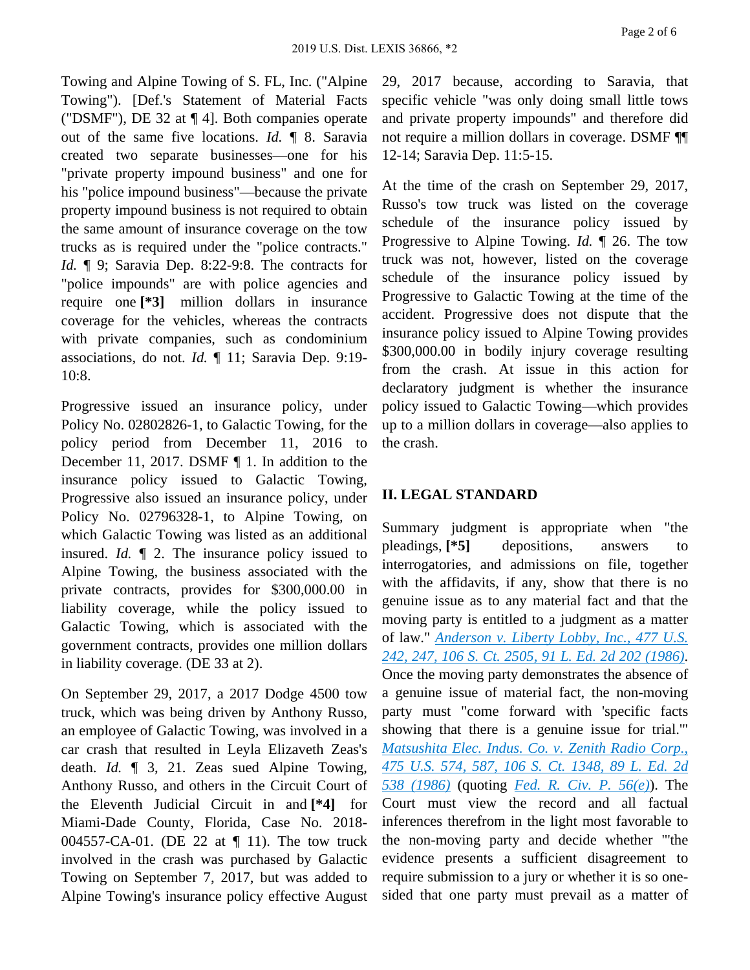Towing and Alpine Towing of S. FL, Inc. ("Alpine Towing"). [Def.'s Statement of Material Facts ("DSMF"), DE 32 at ¶ 4]. Both companies operate out of the same five locations. *Id.* ¶ 8. Saravia created two separate businesses—one for his "private property impound business" and one for his "police impound business"—because the private property impound business is not required to obtain the same amount of insurance coverage on the tow trucks as is required under the "police contracts." *Id.* **[9**; Saravia Dep. 8:22-9:8. The contracts for "police impounds" are with police agencies and require one **[\*3]** million dollars in insurance coverage for the vehicles, whereas the contracts with private companies, such as condominium associations, do not. *Id.* ¶ 11; Saravia Dep. 9:19-

Progressive issued an insurance policy, under Policy No. 02802826-1, to Galactic Towing, for the policy period from December 11, 2016 to December 11, 2017. DSMF ¶ 1. In addition to the insurance policy issued to Galactic Towing, Progressive also issued an insurance policy, under Policy No. 02796328-1, to Alpine Towing, on which Galactic Towing was listed as an additional insured. *Id.* ¶ 2. The insurance policy issued to Alpine Towing, the business associated with the private contracts, provides for \$300,000.00 in liability coverage, while the policy issued to Galactic Towing, which is associated with the government contracts, provides one million dollars in liability coverage. (DE 33 at 2).

10:8.

On September 29, 2017, a 2017 Dodge 4500 tow truck, which was being driven by Anthony Russo, an employee of Galactic Towing, was involved in a car crash that resulted in Leyla Elizaveth Zeas's death. *Id.* ¶ 3, 21. Zeas sued Alpine Towing, Anthony Russo, and others in the Circuit Court of the Eleventh Judicial Circuit in and **[\*4]** for Miami-Dade County, Florida, Case No. 2018- 004557-CA-01. (DE 22 at ¶ 11). The tow truck involved in the crash was purchased by Galactic Towing on September 7, 2017, but was added to Alpine Towing's insurance policy effective August 29, 2017 because, according to Saravia, that specific vehicle "was only doing small little tows and private property impounds" and therefore did not require a million dollars in coverage. DSMF ¶¶ 12-14; Saravia Dep. 11:5-15.

At the time of the crash on September 29, 2017, Russo's tow truck was listed on the coverage schedule of the insurance policy issued by Progressive to Alpine Towing. *Id.* ¶ 26. The tow truck was not, however, listed on the coverage schedule of the insurance policy issued by Progressive to Galactic Towing at the time of the accident. Progressive does not dispute that the insurance policy issued to Alpine Towing provides \$300,000.00 in bodily injury coverage resulting from the crash. At issue in this action for declaratory judgment is whether the insurance policy issued to Galactic Towing—which provides up to a million dollars in coverage—also applies to the crash.

## **II. LEGAL STANDARD**

Summary judgment is appropriate when "the pleadings, **[\*5]** depositions, answers to interrogatories, and admissions on file, together with the affidavits, if any, show that there is no genuine issue as to any material fact and that the moving party is entitled to a judgment as a matter of law." *[Anderson v. Liberty Lobby, Inc., 477 U.S.](http://configure.this.manually.for.dev/api/document?collection=cases&id=urn:contentItem:3S4X-6H80-0039-N37M-00000-00&context=)  [242, 247, 106 S. Ct. 2505, 91 L. Ed. 2d 202 \(1986\)](http://configure.this.manually.for.dev/api/document?collection=cases&id=urn:contentItem:3S4X-6H80-0039-N37M-00000-00&context=)*. Once the moving party demonstrates the absence of a genuine issue of material fact, the non-moving party must "come forward with 'specific facts showing that there is a genuine issue for trial.'" *[Matsushita Elec. Indus. Co. v. Zenith Radio Corp.,](http://configure.this.manually.for.dev/api/document?collection=cases&id=urn:contentItem:3S4X-7P90-0039-N51W-00000-00&context=)  [475 U.S. 574, 587, 106 S. Ct. 1348, 89 L. Ed. 2d](http://configure.this.manually.for.dev/api/document?collection=cases&id=urn:contentItem:3S4X-7P90-0039-N51W-00000-00&context=)  [538 \(1986\)](http://configure.this.manually.for.dev/api/document?collection=cases&id=urn:contentItem:3S4X-7P90-0039-N51W-00000-00&context=)* (quoting *[Fed. R. Civ. P. 56\(e\)](http://configure.this.manually.for.dev/api/document?collection=statutes-legislation&id=urn:contentItem:5GYC-2421-6N19-F165-00000-00&context=)*). The Court must view the record and all factual inferences therefrom in the light most favorable to the non-moving party and decide whether "'the evidence presents a sufficient disagreement to require submission to a jury or whether it is so onesided that one party must prevail as a matter of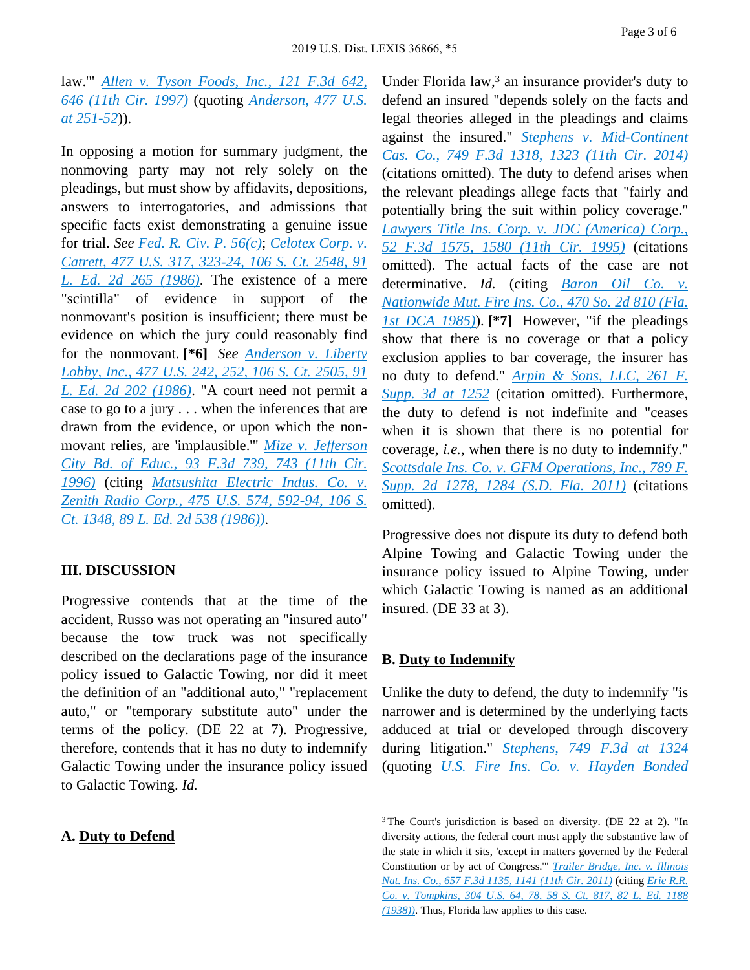law.'" *[Allen v. Tyson Foods, Inc., 121 F.3d 642,](http://configure.this.manually.for.dev/api/document?collection=cases&id=urn:contentItem:3S42-KVX0-00B1-D201-00000-00&context=)  [646 \(11th Cir. 1997\)](http://configure.this.manually.for.dev/api/document?collection=cases&id=urn:contentItem:3S42-KVX0-00B1-D201-00000-00&context=)* (quoting *[Anderson, 477 U.S.](http://configure.this.manually.for.dev/api/document?collection=cases&id=urn:contentItem:3S4X-6H80-0039-N37M-00000-00&context=)  [at 251-52](http://configure.this.manually.for.dev/api/document?collection=cases&id=urn:contentItem:3S4X-6H80-0039-N37M-00000-00&context=)*)).

In opposing a motion for summary judgment, the nonmoving party may not rely solely on the pleadings, but must show by affidavits, depositions, answers to interrogatories, and admissions that specific facts exist demonstrating a genuine issue for trial. *See [Fed. R. Civ. P. 56\(c\)](http://configure.this.manually.for.dev/api/document?collection=statutes-legislation&id=urn:contentItem:5GYC-2421-6N19-F165-00000-00&context=)*; *[Celotex Corp. v.](http://configure.this.manually.for.dev/api/document?collection=cases&id=urn:contentItem:3S4X-6HC0-0039-N37R-00000-00&context=)  [Catrett, 477 U.S. 317, 323-24, 106 S. Ct. 2548, 91](http://configure.this.manually.for.dev/api/document?collection=cases&id=urn:contentItem:3S4X-6HC0-0039-N37R-00000-00&context=)  [L. Ed. 2d 265 \(1986\)](http://configure.this.manually.for.dev/api/document?collection=cases&id=urn:contentItem:3S4X-6HC0-0039-N37R-00000-00&context=)*. The existence of a mere "scintilla" of evidence in support of the nonmovant's position is insufficient; there must be evidence on which the jury could reasonably find for the nonmovant. **[\*6]** *See [Anderson v. Liberty](http://configure.this.manually.for.dev/api/document?collection=cases&id=urn:contentItem:3S4X-6H80-0039-N37M-00000-00&context=)  [Lobby, Inc., 477 U.S. 242, 252, 106 S. Ct. 2505, 91](http://configure.this.manually.for.dev/api/document?collection=cases&id=urn:contentItem:3S4X-6H80-0039-N37M-00000-00&context=)  [L. Ed. 2d 202 \(1986\)](http://configure.this.manually.for.dev/api/document?collection=cases&id=urn:contentItem:3S4X-6H80-0039-N37M-00000-00&context=)*. "A court need not permit a case to go to a jury . . . when the inferences that are drawn from the evidence, or upon which the nonmovant relies, are 'implausible.'" *[Mize v. Jefferson](http://configure.this.manually.for.dev/api/document?collection=cases&id=urn:contentItem:3S4X-1410-006F-M2WR-00000-00&context=)  [City Bd. of Educ., 93 F.3d 739, 743 \(11th Cir.](http://configure.this.manually.for.dev/api/document?collection=cases&id=urn:contentItem:3S4X-1410-006F-M2WR-00000-00&context=)  [1996\)](http://configure.this.manually.for.dev/api/document?collection=cases&id=urn:contentItem:3S4X-1410-006F-M2WR-00000-00&context=)* (citing *[Matsushita Electric Indus. Co. v.](http://configure.this.manually.for.dev/api/document?collection=cases&id=urn:contentItem:3S4X-7P90-0039-N51W-00000-00&context=)  [Zenith Radio Corp., 475 U.S. 574, 592-94, 106 S.](http://configure.this.manually.for.dev/api/document?collection=cases&id=urn:contentItem:3S4X-7P90-0039-N51W-00000-00&context=)  [Ct. 1348, 89 L. Ed. 2d 538 \(1986\)\)](http://configure.this.manually.for.dev/api/document?collection=cases&id=urn:contentItem:3S4X-7P90-0039-N51W-00000-00&context=)*.

### **III. DISCUSSION**

Progressive contends that at the time of the accident, Russo was not operating an "insured auto" because the tow truck was not specifically described on the declarations page of the insurance policy issued to Galactic Towing, nor did it meet the definition of an "additional auto," "replacement auto," or "temporary substitute auto" under the terms of the policy. (DE 22 at 7). Progressive, therefore, contends that it has no duty to indemnify Galactic Towing under the insurance policy issued to Galactic Towing. *Id.*

#### **A. Duty to Defend**

Under Florida law,<sup>3</sup> an insurance provider's duty to defend an insured "depends solely on the facts and legal theories alleged in the pleadings and claims against the insured." *[Stephens v. Mid-Continent](http://configure.this.manually.for.dev/api/document?collection=cases&id=urn:contentItem:5C26-N4B1-F04K-X047-00000-00&context=)  [Cas. Co., 749 F.3d 1318, 1323 \(11th Cir. 2014\)](http://configure.this.manually.for.dev/api/document?collection=cases&id=urn:contentItem:5C26-N4B1-F04K-X047-00000-00&context=)* (citations omitted). The duty to defend arises when the relevant pleadings allege facts that "fairly and potentially bring the suit within policy coverage." *[Lawyers Title Ins. Corp. v. JDC \(America\) Corp.,](http://configure.this.manually.for.dev/api/document?collection=cases&id=urn:contentItem:3S4X-DXX0-001T-D1Y9-00000-00&context=)  [52 F.3d 1575, 1580 \(11th Cir. 1995\)](http://configure.this.manually.for.dev/api/document?collection=cases&id=urn:contentItem:3S4X-DXX0-001T-D1Y9-00000-00&context=)* (citations omitted). The actual facts of the case are not determinative. *Id.* (citing *[Baron Oil Co. v.](http://configure.this.manually.for.dev/api/document?collection=cases&id=urn:contentItem:3RRM-67V0-003C-X1B5-00000-00&context=)  [Nationwide Mut. Fire Ins. Co., 470 So. 2d 810 \(Fla.](http://configure.this.manually.for.dev/api/document?collection=cases&id=urn:contentItem:3RRM-67V0-003C-X1B5-00000-00&context=)  [1st DCA 1985\)](http://configure.this.manually.for.dev/api/document?collection=cases&id=urn:contentItem:3RRM-67V0-003C-X1B5-00000-00&context=)*). **[\*7]** However, "if the pleadings show that there is no coverage or that a policy exclusion applies to bar coverage, the insurer has no duty to defend." *[Arpin & Sons, LLC, 261 F.](http://configure.this.manually.for.dev/api/document?collection=cases&id=urn:contentItem:5NKX-K1J1-F04D-107R-00000-00&context=)  [Supp. 3d at 1252](http://configure.this.manually.for.dev/api/document?collection=cases&id=urn:contentItem:5NKX-K1J1-F04D-107R-00000-00&context=)* (citation omitted). Furthermore, the duty to defend is not indefinite and "ceases when it is shown that there is no potential for coverage, *i.e.*, when there is no duty to indemnify." *[Scottsdale Ins. Co. v. GFM Operations, Inc., 789 F.](http://configure.this.manually.for.dev/api/document?collection=cases&id=urn:contentItem:52M4-FB61-JCNB-90RT-00000-00&context=)  [Supp. 2d 1278, 1284 \(S.D. Fla. 2011\)](http://configure.this.manually.for.dev/api/document?collection=cases&id=urn:contentItem:52M4-FB61-JCNB-90RT-00000-00&context=)* (citations omitted).

Progressive does not dispute its duty to defend both Alpine Towing and Galactic Towing under the insurance policy issued to Alpine Towing, under which Galactic Towing is named as an additional insured. (DE 33 at 3).

## **B. Duty to Indemnify**

Unlike the duty to defend, the duty to indemnify "is narrower and is determined by the underlying facts adduced at trial or developed through discovery during litigation." *[Stephens, 749 F.3d at 1324](http://configure.this.manually.for.dev/api/document?collection=cases&id=urn:contentItem:5C26-N4B1-F04K-X047-00000-00&context=)* (quoting *[U.S. Fire Ins. Co. v. Hayden Bonded](http://configure.this.manually.for.dev/api/document?collection=cases&id=urn:contentItem:4JN7-B1C0-0039-42H0-00000-00&context=)* 

<sup>3</sup>The Court's jurisdiction is based on diversity. (DE 22 at 2). "In diversity actions, the federal court must apply the substantive law of the state in which it sits, 'except in matters governed by the Federal Constitution or by act of Congress.'" *[Trailer Bridge, Inc. v. Illinois](http://configure.this.manually.for.dev/api/document?collection=cases&id=urn:contentItem:8372-XRH1-652R-B34G-00000-00&context=)  [Nat. Ins. Co., 657 F.3d 1135, 1141 \(11th Cir. 2011\)](http://configure.this.manually.for.dev/api/document?collection=cases&id=urn:contentItem:8372-XRH1-652R-B34G-00000-00&context=)* (citing *[Erie R.R.](http://configure.this.manually.for.dev/api/document?collection=cases&id=urn:contentItem:3S4X-8PN0-003B-708F-00000-00&context=)  [Co. v. Tompkins, 304 U.S. 64, 78, 58 S. Ct. 817, 82 L. Ed. 1188](http://configure.this.manually.for.dev/api/document?collection=cases&id=urn:contentItem:3S4X-8PN0-003B-708F-00000-00&context=)  [\(1938\)\)](http://configure.this.manually.for.dev/api/document?collection=cases&id=urn:contentItem:3S4X-8PN0-003B-708F-00000-00&context=)*. Thus, Florida law applies to this case.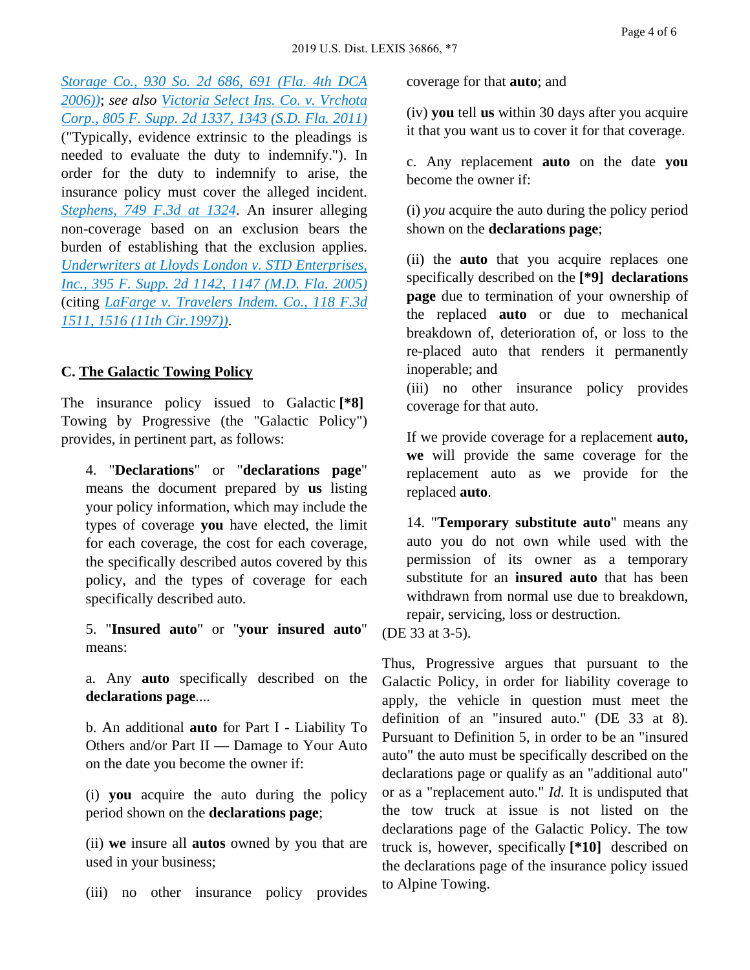*[Storage Co., 930 So. 2d 686, 691 \(Fla. 4th DCA](http://configure.this.manually.for.dev/api/document?collection=cases&id=urn:contentItem:4JN7-B1C0-0039-42H0-00000-00&context=)  [2006\)\)](http://configure.this.manually.for.dev/api/document?collection=cases&id=urn:contentItem:4JN7-B1C0-0039-42H0-00000-00&context=)*; *see also [Victoria Select Ins. Co. v. Vrchota](http://configure.this.manually.for.dev/api/document?collection=cases&id=urn:contentItem:52JV-2YD1-652H-F0KK-00000-00&context=)  [Corp., 805 F. Supp. 2d 1337, 1343 \(S.D. Fla. 2011\)](http://configure.this.manually.for.dev/api/document?collection=cases&id=urn:contentItem:52JV-2YD1-652H-F0KK-00000-00&context=)* ("Typically, evidence extrinsic to the pleadings is needed to evaluate the duty to indemnify."). In order for the duty to indemnify to arise, the insurance policy must cover the alleged incident. *[Stephens, 749 F.3d at 1324](http://configure.this.manually.for.dev/api/document?collection=cases&id=urn:contentItem:5C26-N4B1-F04K-X047-00000-00&context=)*. An insurer alleging non-coverage based on an exclusion bears the burden of establishing that the exclusion applies. *[Underwriters at Lloyds London v. STD Enterprises,](http://configure.this.manually.for.dev/api/document?collection=cases&id=urn:contentItem:4HD8-GMV0-TVTD-01SN-00000-00&context=)  [Inc., 395 F. Supp. 2d 1142, 1147 \(M.D. Fla. 2005\)](http://configure.this.manually.for.dev/api/document?collection=cases&id=urn:contentItem:4HD8-GMV0-TVTD-01SN-00000-00&context=)* (citing *[LaFarge v. Travelers Indem. Co., 118 F.3d](http://configure.this.manually.for.dev/api/document?collection=cases&id=urn:contentItem:3RJP-N050-00B1-D11D-00000-00&context=)  [1511, 1516 \(11th Cir.1997\)\)](http://configure.this.manually.for.dev/api/document?collection=cases&id=urn:contentItem:3RJP-N050-00B1-D11D-00000-00&context=)*.

## **C. The Galactic Towing Policy**

The insurance policy issued to Galactic **[\*8]**  Towing by Progressive (the "Galactic Policy") provides, in pertinent part, as follows:

4. "**Declarations**" or "**declarations page**" means the document prepared by **us** listing your policy information, which may include the types of coverage **you** have elected, the limit for each coverage, the cost for each coverage, the specifically described autos covered by this policy, and the types of coverage for each specifically described auto.

5. "**Insured auto**" or "**your insured auto**" means:

a. Any **auto** specifically described on the **declarations page**....

b. An additional **auto** for Part I - Liability To Others and/or Part II — Damage to Your Auto on the date you become the owner if:

(i) **you** acquire the auto during the policy period shown on the **declarations page**;

(ii) **we** insure all **autos** owned by you that are used in your business;

(iii) no other insurance policy provides

coverage for that **auto**; and

(iv) **you** tell **us** within 30 days after you acquire it that you want us to cover it for that coverage.

c. Any replacement **auto** on the date **you** become the owner if:

(i) *you* acquire the auto during the policy period shown on the **declarations page**;

(ii) the **auto** that you acquire replaces one specifically described on the **[\*9] declarations page** due to termination of your ownership of the replaced **auto** or due to mechanical breakdown of, deterioration of, or loss to the re-placed auto that renders it permanently inoperable; and

(iii) no other insurance policy provides coverage for that auto.

If we provide coverage for a replacement **auto, we** will provide the same coverage for the replacement auto as we provide for the replaced **auto**.

14. "**Temporary substitute auto**" means any auto you do not own while used with the permission of its owner as a temporary substitute for an **insured auto** that has been withdrawn from normal use due to breakdown. repair, servicing, loss or destruction.

(DE 33 at 3-5).

Thus, Progressive argues that pursuant to the Galactic Policy, in order for liability coverage to apply, the vehicle in question must meet the definition of an "insured auto." (DE 33 at 8). Pursuant to Definition 5, in order to be an "insured auto" the auto must be specifically described on the declarations page or qualify as an "additional auto" or as a "replacement auto." *Id.* It is undisputed that the tow truck at issue is not listed on the declarations page of the Galactic Policy. The tow truck is, however, specifically **[\*10]** described on the declarations page of the insurance policy issued to Alpine Towing.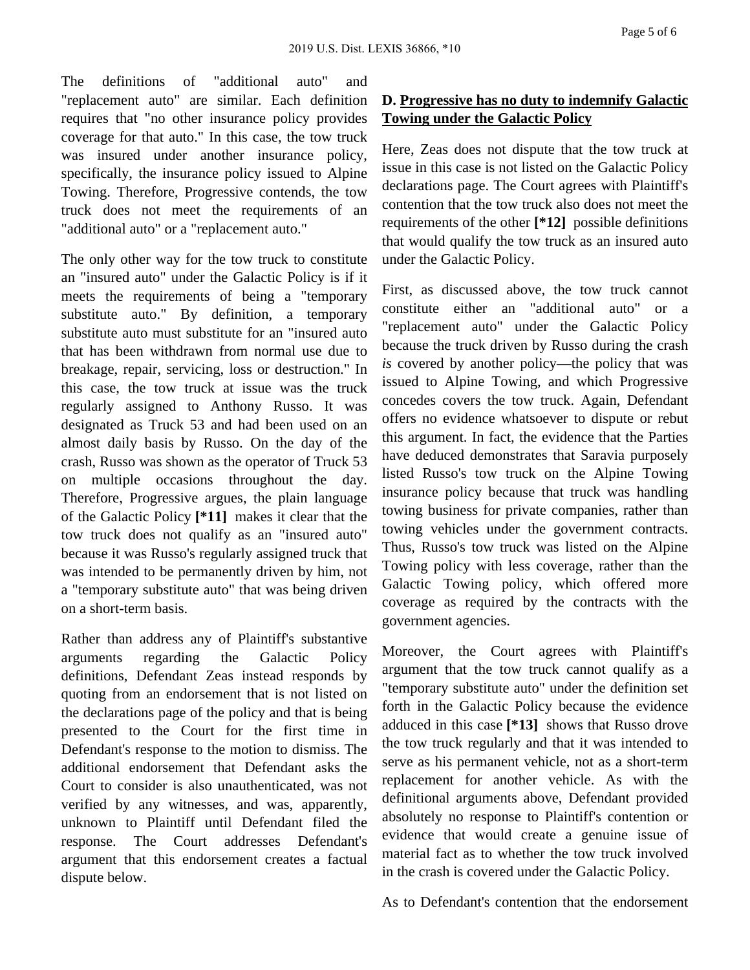Page 5 of 6

The definitions of "additional auto" and "replacement auto" are similar. Each definition requires that "no other insurance policy provides coverage for that auto." In this case, the tow truck was insured under another insurance policy, specifically, the insurance policy issued to Alpine Towing. Therefore, Progressive contends, the tow truck does not meet the requirements of an "additional auto" or a "replacement auto."

The only other way for the tow truck to constitute an "insured auto" under the Galactic Policy is if it meets the requirements of being a "temporary substitute auto." By definition, a temporary substitute auto must substitute for an "insured auto that has been withdrawn from normal use due to breakage, repair, servicing, loss or destruction." In this case, the tow truck at issue was the truck regularly assigned to Anthony Russo. It was designated as Truck 53 and had been used on an almost daily basis by Russo. On the day of the crash, Russo was shown as the operator of Truck 53 on multiple occasions throughout the day. Therefore, Progressive argues, the plain language of the Galactic Policy **[\*11]** makes it clear that the tow truck does not qualify as an "insured auto" because it was Russo's regularly assigned truck that was intended to be permanently driven by him, not a "temporary substitute auto" that was being driven on a short-term basis.

Rather than address any of Plaintiff's substantive arguments regarding the Galactic Policy definitions, Defendant Zeas instead responds by quoting from an endorsement that is not listed on the declarations page of the policy and that is being presented to the Court for the first time in Defendant's response to the motion to dismiss. The additional endorsement that Defendant asks the Court to consider is also unauthenticated, was not verified by any witnesses, and was, apparently, unknown to Plaintiff until Defendant filed the response. The Court addresses Defendant's argument that this endorsement creates a factual dispute below.

# **D. Progressive has no duty to indemnify Galactic Towing under the Galactic Policy**

Here, Zeas does not dispute that the tow truck at issue in this case is not listed on the Galactic Policy declarations page. The Court agrees with Plaintiff's contention that the tow truck also does not meet the requirements of the other **[\*12]** possible definitions that would qualify the tow truck as an insured auto under the Galactic Policy.

First, as discussed above, the tow truck cannot constitute either an "additional auto" or a "replacement auto" under the Galactic Policy because the truck driven by Russo during the crash *is* covered by another policy—the policy that was issued to Alpine Towing, and which Progressive concedes covers the tow truck. Again, Defendant offers no evidence whatsoever to dispute or rebut this argument. In fact, the evidence that the Parties have deduced demonstrates that Saravia purposely listed Russo's tow truck on the Alpine Towing insurance policy because that truck was handling towing business for private companies, rather than towing vehicles under the government contracts. Thus, Russo's tow truck was listed on the Alpine Towing policy with less coverage, rather than the Galactic Towing policy, which offered more coverage as required by the contracts with the government agencies.

Moreover, the Court agrees with Plaintiff's argument that the tow truck cannot qualify as a "temporary substitute auto" under the definition set forth in the Galactic Policy because the evidence adduced in this case **[\*13]** shows that Russo drove the tow truck regularly and that it was intended to serve as his permanent vehicle, not as a short-term replacement for another vehicle. As with the definitional arguments above, Defendant provided absolutely no response to Plaintiff's contention or evidence that would create a genuine issue of material fact as to whether the tow truck involved in the crash is covered under the Galactic Policy.

As to Defendant's contention that the endorsement